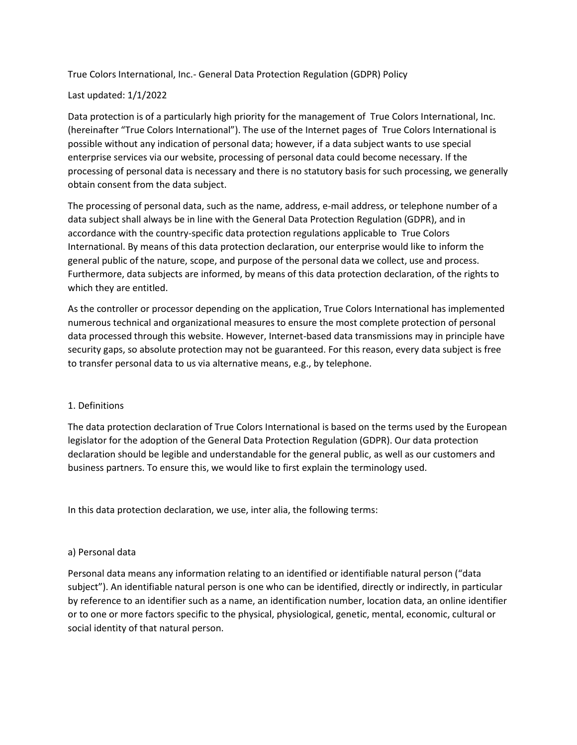True Colors International, Inc.- General Data Protection Regulation (GDPR) Policy

### Last updated: 1/1/2022

Data protection is of a particularly high priority for the management of True Colors International, Inc. (hereinafter "True Colors International"). The use of the Internet pages of True Colors International is possible without any indication of personal data; however, if a data subject wants to use special enterprise services via our website, processing of personal data could become necessary. If the processing of personal data is necessary and there is no statutory basis for such processing, we generally obtain consent from the data subject.

The processing of personal data, such as the name, address, e-mail address, or telephone number of a data subject shall always be in line with the General Data Protection Regulation (GDPR), and in accordance with the country-specific data protection regulations applicable to True Colors International. By means of this data protection declaration, our enterprise would like to inform the general public of the nature, scope, and purpose of the personal data we collect, use and process. Furthermore, data subjects are informed, by means of this data protection declaration, of the rights to which they are entitled.

As the controller or processor depending on the application, True Colors International has implemented numerous technical and organizational measures to ensure the most complete protection of personal data processed through this website. However, Internet-based data transmissions may in principle have security gaps, so absolute protection may not be guaranteed. For this reason, every data subject is free to transfer personal data to us via alternative means, e.g., by telephone.

### 1. Definitions

The data protection declaration of True Colors International is based on the terms used by the European legislator for the adoption of the General Data Protection Regulation (GDPR). Our data protection declaration should be legible and understandable for the general public, as well as our customers and business partners. To ensure this, we would like to first explain the terminology used.

In this data protection declaration, we use, inter alia, the following terms:

# a) Personal data

Personal data means any information relating to an identified or identifiable natural person ("data subject"). An identifiable natural person is one who can be identified, directly or indirectly, in particular by reference to an identifier such as a name, an identification number, location data, an online identifier or to one or more factors specific to the physical, physiological, genetic, mental, economic, cultural or social identity of that natural person.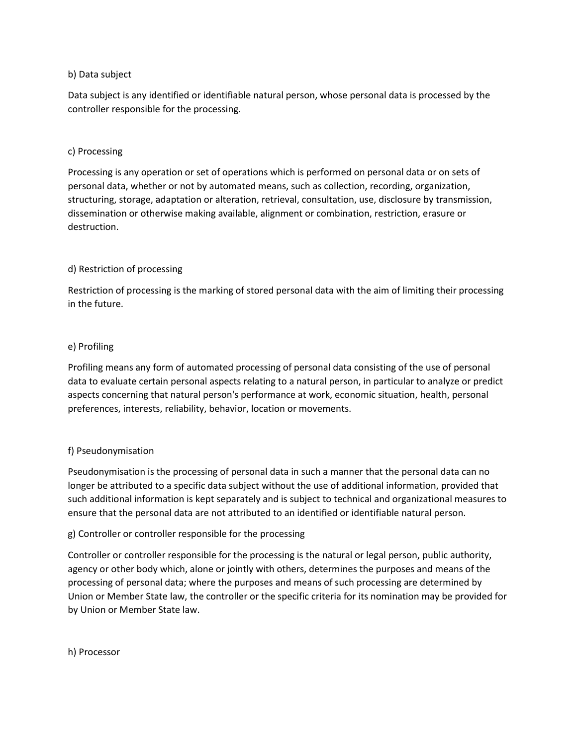### b) Data subject

Data subject is any identified or identifiable natural person, whose personal data is processed by the controller responsible for the processing.

#### c) Processing

Processing is any operation or set of operations which is performed on personal data or on sets of personal data, whether or not by automated means, such as collection, recording, organization, structuring, storage, adaptation or alteration, retrieval, consultation, use, disclosure by transmission, dissemination or otherwise making available, alignment or combination, restriction, erasure or destruction.

### d) Restriction of processing

Restriction of processing is the marking of stored personal data with the aim of limiting their processing in the future.

### e) Profiling

Profiling means any form of automated processing of personal data consisting of the use of personal data to evaluate certain personal aspects relating to a natural person, in particular to analyze or predict aspects concerning that natural person's performance at work, economic situation, health, personal preferences, interests, reliability, behavior, location or movements.

### f) Pseudonymisation

Pseudonymisation is the processing of personal data in such a manner that the personal data can no longer be attributed to a specific data subject without the use of additional information, provided that such additional information is kept separately and is subject to technical and organizational measures to ensure that the personal data are not attributed to an identified or identifiable natural person.

### g) Controller or controller responsible for the processing

Controller or controller responsible for the processing is the natural or legal person, public authority, agency or other body which, alone or jointly with others, determines the purposes and means of the processing of personal data; where the purposes and means of such processing are determined by Union or Member State law, the controller or the specific criteria for its nomination may be provided for by Union or Member State law.

#### h) Processor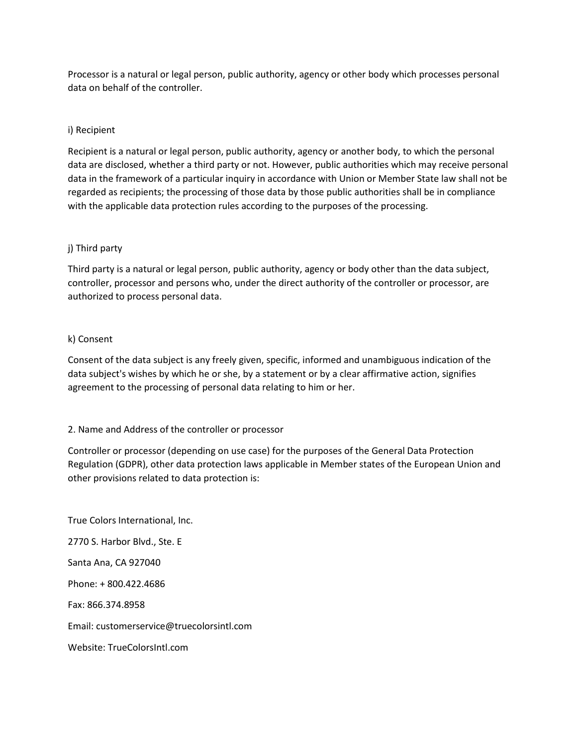Processor is a natural or legal person, public authority, agency or other body which processes personal data on behalf of the controller.

### i) Recipient

Recipient is a natural or legal person, public authority, agency or another body, to which the personal data are disclosed, whether a third party or not. However, public authorities which may receive personal data in the framework of a particular inquiry in accordance with Union or Member State law shall not be regarded as recipients; the processing of those data by those public authorities shall be in compliance with the applicable data protection rules according to the purposes of the processing.

### j) Third party

Third party is a natural or legal person, public authority, agency or body other than the data subject, controller, processor and persons who, under the direct authority of the controller or processor, are authorized to process personal data.

### k) Consent

Consent of the data subject is any freely given, specific, informed and unambiguous indication of the data subject's wishes by which he or she, by a statement or by a clear affirmative action, signifies agreement to the processing of personal data relating to him or her.

### 2. Name and Address of the controller or processor

Controller or processor (depending on use case) for the purposes of the General Data Protection Regulation (GDPR), other data protection laws applicable in Member states of the European Union and other provisions related to data protection is:

True Colors International, Inc. 2770 S. Harbor Blvd., Ste. E Santa Ana, CA 927040 Phone: + 800.422.4686 Fax: 866.374.8958 Email: customerservice@truecolorsintl.com Website: TrueColorsIntl.com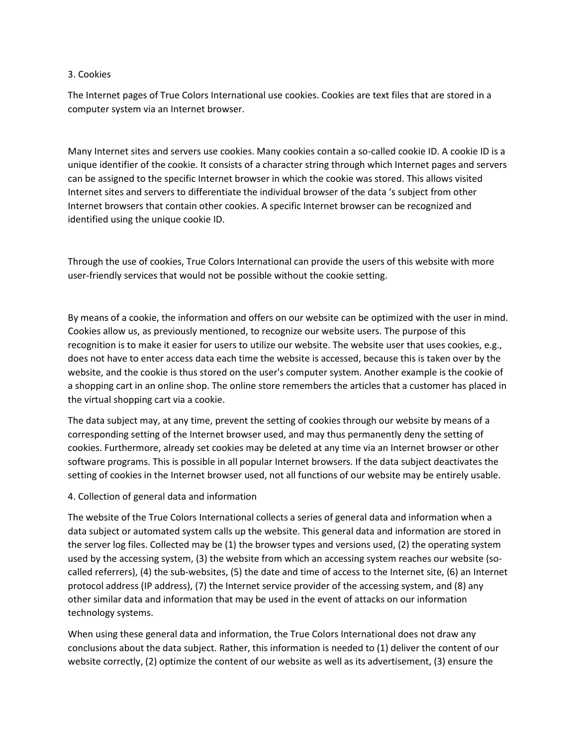#### 3. Cookies

The Internet pages of True Colors International use cookies. Cookies are text files that are stored in a computer system via an Internet browser.

Many Internet sites and servers use cookies. Many cookies contain a so-called cookie ID. A cookie ID is a unique identifier of the cookie. It consists of a character string through which Internet pages and servers can be assigned to the specific Internet browser in which the cookie was stored. This allows visited Internet sites and servers to differentiate the individual browser of the data 's subject from other Internet browsers that contain other cookies. A specific Internet browser can be recognized and identified using the unique cookie ID.

Through the use of cookies, True Colors International can provide the users of this website with more user-friendly services that would not be possible without the cookie setting.

By means of a cookie, the information and offers on our website can be optimized with the user in mind. Cookies allow us, as previously mentioned, to recognize our website users. The purpose of this recognition is to make it easier for users to utilize our website. The website user that uses cookies, e.g., does not have to enter access data each time the website is accessed, because this is taken over by the website, and the cookie is thus stored on the user's computer system. Another example is the cookie of a shopping cart in an online shop. The online store remembers the articles that a customer has placed in the virtual shopping cart via a cookie.

The data subject may, at any time, prevent the setting of cookies through our website by means of a corresponding setting of the Internet browser used, and may thus permanently deny the setting of cookies. Furthermore, already set cookies may be deleted at any time via an Internet browser or other software programs. This is possible in all popular Internet browsers. If the data subject deactivates the setting of cookies in the Internet browser used, not all functions of our website may be entirely usable.

### 4. Collection of general data and information

The website of the True Colors International collects a series of general data and information when a data subject or automated system calls up the website. This general data and information are stored in the server log files. Collected may be (1) the browser types and versions used, (2) the operating system used by the accessing system, (3) the website from which an accessing system reaches our website (socalled referrers), (4) the sub-websites, (5) the date and time of access to the Internet site, (6) an Internet protocol address (IP address), (7) the Internet service provider of the accessing system, and (8) any other similar data and information that may be used in the event of attacks on our information technology systems.

When using these general data and information, the True Colors International does not draw any conclusions about the data subject. Rather, this information is needed to (1) deliver the content of our website correctly, (2) optimize the content of our website as well as its advertisement, (3) ensure the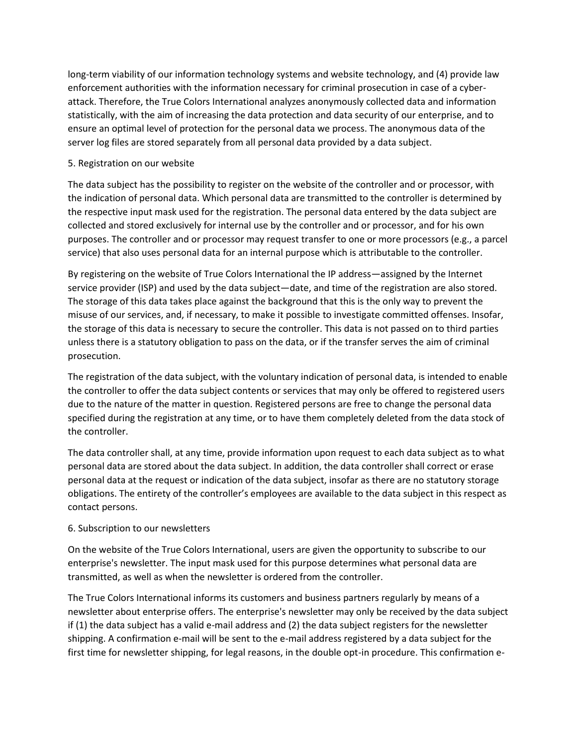long-term viability of our information technology systems and website technology, and (4) provide law enforcement authorities with the information necessary for criminal prosecution in case of a cyberattack. Therefore, the True Colors International analyzes anonymously collected data and information statistically, with the aim of increasing the data protection and data security of our enterprise, and to ensure an optimal level of protection for the personal data we process. The anonymous data of the server log files are stored separately from all personal data provided by a data subject.

### 5. Registration on our website

The data subject has the possibility to register on the website of the controller and or processor, with the indication of personal data. Which personal data are transmitted to the controller is determined by the respective input mask used for the registration. The personal data entered by the data subject are collected and stored exclusively for internal use by the controller and or processor, and for his own purposes. The controller and or processor may request transfer to one or more processors (e.g., a parcel service) that also uses personal data for an internal purpose which is attributable to the controller.

By registering on the website of True Colors International the IP address—assigned by the Internet service provider (ISP) and used by the data subject—date, and time of the registration are also stored. The storage of this data takes place against the background that this is the only way to prevent the misuse of our services, and, if necessary, to make it possible to investigate committed offenses. Insofar, the storage of this data is necessary to secure the controller. This data is not passed on to third parties unless there is a statutory obligation to pass on the data, or if the transfer serves the aim of criminal prosecution.

The registration of the data subject, with the voluntary indication of personal data, is intended to enable the controller to offer the data subject contents or services that may only be offered to registered users due to the nature of the matter in question. Registered persons are free to change the personal data specified during the registration at any time, or to have them completely deleted from the data stock of the controller.

The data controller shall, at any time, provide information upon request to each data subject as to what personal data are stored about the data subject. In addition, the data controller shall correct or erase personal data at the request or indication of the data subject, insofar as there are no statutory storage obligations. The entirety of the controller's employees are available to the data subject in this respect as contact persons.

### 6. Subscription to our newsletters

On the website of the True Colors International, users are given the opportunity to subscribe to our enterprise's newsletter. The input mask used for this purpose determines what personal data are transmitted, as well as when the newsletter is ordered from the controller.

The True Colors International informs its customers and business partners regularly by means of a newsletter about enterprise offers. The enterprise's newsletter may only be received by the data subject if (1) the data subject has a valid e-mail address and (2) the data subject registers for the newsletter shipping. A confirmation e-mail will be sent to the e-mail address registered by a data subject for the first time for newsletter shipping, for legal reasons, in the double opt-in procedure. This confirmation e-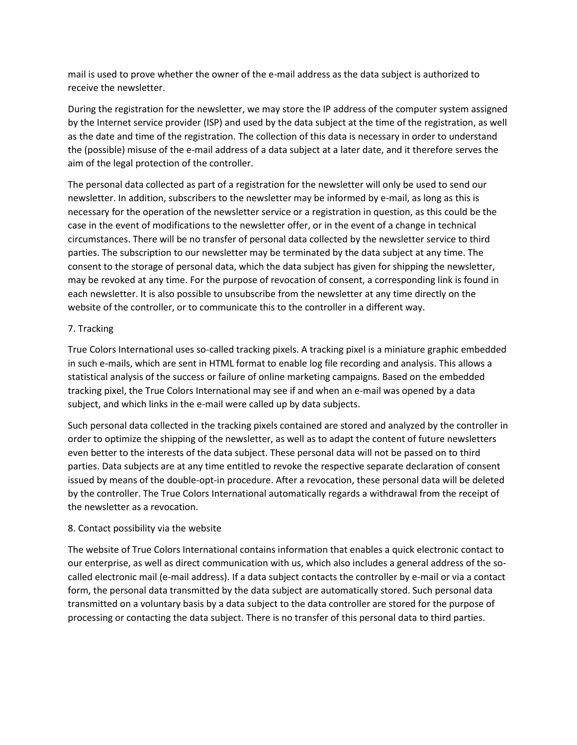mail is used to prove whether the owner of the e-mail address as the data subject is authorized to receive the newsletter.

During the registration for the newsletter, we may store the IP address of the computer system assigned by the Internet service provider (ISP) and used by the data subject at the time of the registration, as well as the date and time of the registration. The collection of this data is necessary in order to understand the (possible) misuse of the e-mail address of a data subject at a later date, and it therefore serves the aim of the legal protection of the controller.

The personal data collected as part of a registration for the newsletter will only be used to send our newsletter. In addition, subscribers to the newsletter may be informed by e-mail, as long as this is necessary for the operation of the newsletter service or a registration in question, as this could be the case in the event of modifications to the newsletter offer, or in the event of a change in technical circumstances. There will be no transfer of personal data collected by the newsletter service to third parties. The subscription to our newsletter may be terminated by the data subject at any time. The consent to the storage of personal data, which the data subject has given for shipping the newsletter, may be revoked at any time. For the purpose of revocation of consent, a corresponding link is found in each newsletter. It is also possible to unsubscribe from the newsletter at any time directly on the website of the controller, or to communicate this to the controller in a different way.

### 7. Tracking

True Colors International uses so-called tracking pixels. A tracking pixel is a miniature graphic embedded in such e-mails, which are sent in HTML format to enable log file recording and analysis. This allows a statistical analysis of the success or failure of online marketing campaigns. Based on the embedded tracking pixel, the True Colors International may see if and when an e-mail was opened by a data subject, and which links in the e-mail were called up by data subjects.

Such personal data collected in the tracking pixels contained are stored and analyzed by the controller in order to optimize the shipping of the newsletter, as well as to adapt the content of future newsletters even better to the interests of the data subject. These personal data will not be passed on to third parties. Data subjects are at any time entitled to revoke the respective separate declaration of consent issued by means of the double-opt-in procedure. After a revocation, these personal data will be deleted by the controller. The True Colors International automatically regards a withdrawal from the receipt of the newsletter as a revocation.

### 8. Contact possibility via the website

The website of True Colors International contains information that enables a quick electronic contact to our enterprise, as well as direct communication with us, which also includes a general address of the socalled electronic mail (e-mail address). If a data subject contacts the controller by e-mail or via a contact form, the personal data transmitted by the data subject are automatically stored. Such personal data transmitted on a voluntary basis by a data subject to the data controller are stored for the purpose of processing or contacting the data subject. There is no transfer of this personal data to third parties.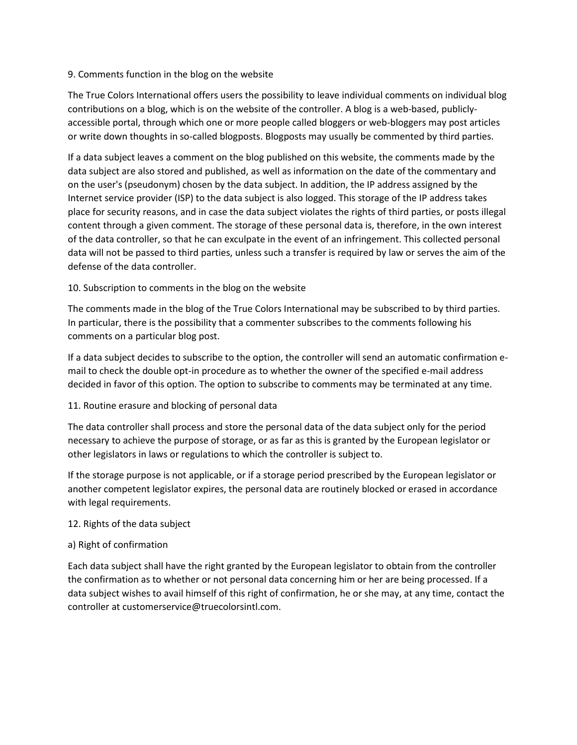### 9. Comments function in the blog on the website

The True Colors International offers users the possibility to leave individual comments on individual blog contributions on a blog, which is on the website of the controller. A blog is a web-based, publiclyaccessible portal, through which one or more people called bloggers or web-bloggers may post articles or write down thoughts in so-called blogposts. Blogposts may usually be commented by third parties.

If a data subject leaves a comment on the blog published on this website, the comments made by the data subject are also stored and published, as well as information on the date of the commentary and on the user's (pseudonym) chosen by the data subject. In addition, the IP address assigned by the Internet service provider (ISP) to the data subject is also logged. This storage of the IP address takes place for security reasons, and in case the data subject violates the rights of third parties, or posts illegal content through a given comment. The storage of these personal data is, therefore, in the own interest of the data controller, so that he can exculpate in the event of an infringement. This collected personal data will not be passed to third parties, unless such a transfer is required by law or serves the aim of the defense of the data controller.

# 10. Subscription to comments in the blog on the website

The comments made in the blog of the True Colors International may be subscribed to by third parties. In particular, there is the possibility that a commenter subscribes to the comments following his comments on a particular blog post.

If a data subject decides to subscribe to the option, the controller will send an automatic confirmation email to check the double opt-in procedure as to whether the owner of the specified e-mail address decided in favor of this option. The option to subscribe to comments may be terminated at any time.

# 11. Routine erasure and blocking of personal data

The data controller shall process and store the personal data of the data subject only for the period necessary to achieve the purpose of storage, or as far as this is granted by the European legislator or other legislators in laws or regulations to which the controller is subject to.

If the storage purpose is not applicable, or if a storage period prescribed by the European legislator or another competent legislator expires, the personal data are routinely blocked or erased in accordance with legal requirements.

# 12. Rights of the data subject

# a) Right of confirmation

Each data subject shall have the right granted by the European legislator to obtain from the controller the confirmation as to whether or not personal data concerning him or her are being processed. If a data subject wishes to avail himself of this right of confirmation, he or she may, at any time, contact the controller at customerservice@truecolorsintl.com.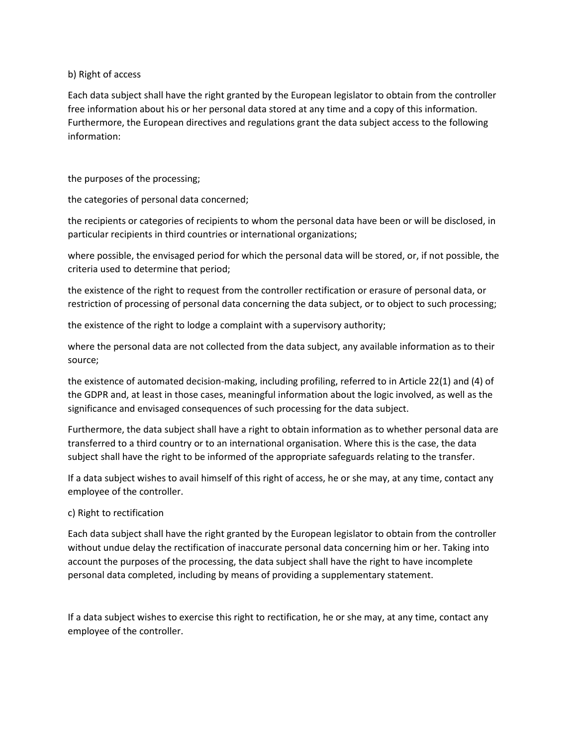#### b) Right of access

Each data subject shall have the right granted by the European legislator to obtain from the controller free information about his or her personal data stored at any time and a copy of this information. Furthermore, the European directives and regulations grant the data subject access to the following information:

the purposes of the processing;

the categories of personal data concerned;

the recipients or categories of recipients to whom the personal data have been or will be disclosed, in particular recipients in third countries or international organizations;

where possible, the envisaged period for which the personal data will be stored, or, if not possible, the criteria used to determine that period;

the existence of the right to request from the controller rectification or erasure of personal data, or restriction of processing of personal data concerning the data subject, or to object to such processing;

the existence of the right to lodge a complaint with a supervisory authority;

where the personal data are not collected from the data subject, any available information as to their source;

the existence of automated decision-making, including profiling, referred to in Article 22(1) and (4) of the GDPR and, at least in those cases, meaningful information about the logic involved, as well as the significance and envisaged consequences of such processing for the data subject.

Furthermore, the data subject shall have a right to obtain information as to whether personal data are transferred to a third country or to an international organisation. Where this is the case, the data subject shall have the right to be informed of the appropriate safeguards relating to the transfer.

If a data subject wishes to avail himself of this right of access, he or she may, at any time, contact any employee of the controller.

### c) Right to rectification

Each data subject shall have the right granted by the European legislator to obtain from the controller without undue delay the rectification of inaccurate personal data concerning him or her. Taking into account the purposes of the processing, the data subject shall have the right to have incomplete personal data completed, including by means of providing a supplementary statement.

If a data subject wishes to exercise this right to rectification, he or she may, at any time, contact any employee of the controller.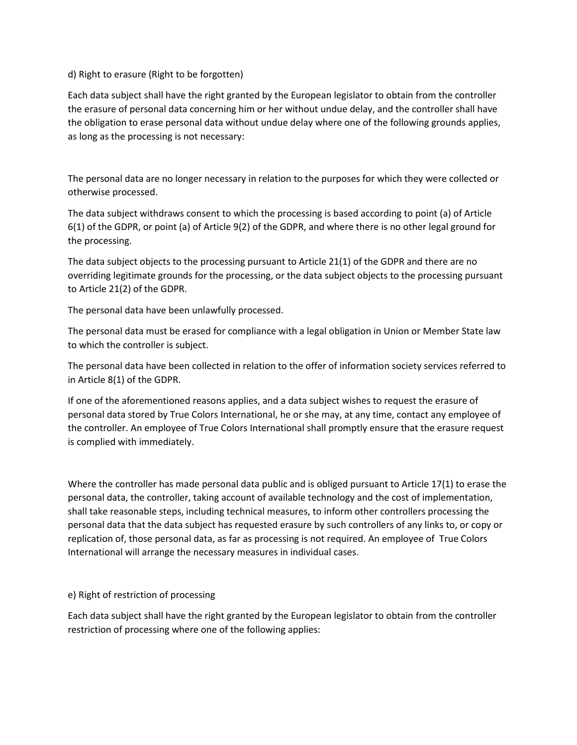### d) Right to erasure (Right to be forgotten)

Each data subject shall have the right granted by the European legislator to obtain from the controller the erasure of personal data concerning him or her without undue delay, and the controller shall have the obligation to erase personal data without undue delay where one of the following grounds applies, as long as the processing is not necessary:

The personal data are no longer necessary in relation to the purposes for which they were collected or otherwise processed.

The data subject withdraws consent to which the processing is based according to point (a) of Article 6(1) of the GDPR, or point (a) of Article 9(2) of the GDPR, and where there is no other legal ground for the processing.

The data subject objects to the processing pursuant to Article 21(1) of the GDPR and there are no overriding legitimate grounds for the processing, or the data subject objects to the processing pursuant to Article 21(2) of the GDPR.

The personal data have been unlawfully processed.

The personal data must be erased for compliance with a legal obligation in Union or Member State law to which the controller is subject.

The personal data have been collected in relation to the offer of information society services referred to in Article 8(1) of the GDPR.

If one of the aforementioned reasons applies, and a data subject wishes to request the erasure of personal data stored by True Colors International, he or she may, at any time, contact any employee of the controller. An employee of True Colors International shall promptly ensure that the erasure request is complied with immediately.

Where the controller has made personal data public and is obliged pursuant to Article 17(1) to erase the personal data, the controller, taking account of available technology and the cost of implementation, shall take reasonable steps, including technical measures, to inform other controllers processing the personal data that the data subject has requested erasure by such controllers of any links to, or copy or replication of, those personal data, as far as processing is not required. An employee of True Colors International will arrange the necessary measures in individual cases.

### e) Right of restriction of processing

Each data subject shall have the right granted by the European legislator to obtain from the controller restriction of processing where one of the following applies: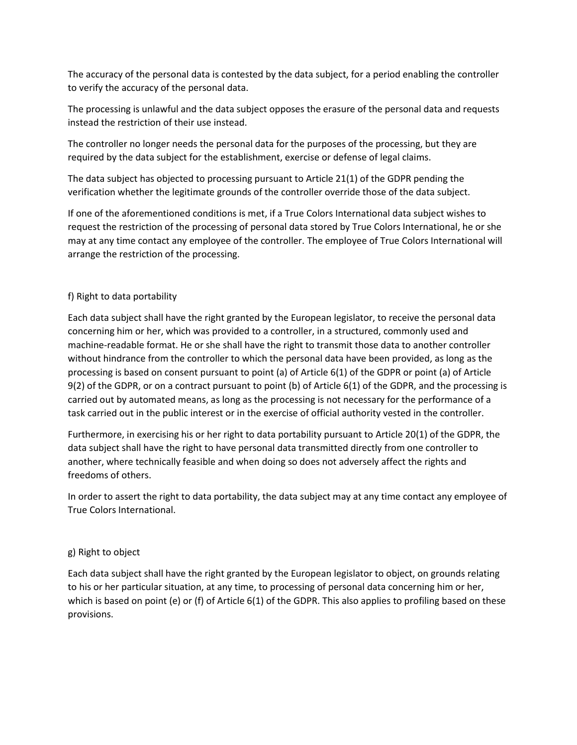The accuracy of the personal data is contested by the data subject, for a period enabling the controller to verify the accuracy of the personal data.

The processing is unlawful and the data subject opposes the erasure of the personal data and requests instead the restriction of their use instead.

The controller no longer needs the personal data for the purposes of the processing, but they are required by the data subject for the establishment, exercise or defense of legal claims.

The data subject has objected to processing pursuant to Article 21(1) of the GDPR pending the verification whether the legitimate grounds of the controller override those of the data subject.

If one of the aforementioned conditions is met, if a True Colors International data subject wishes to request the restriction of the processing of personal data stored by True Colors International, he or she may at any time contact any employee of the controller. The employee of True Colors International will arrange the restriction of the processing.

### f) Right to data portability

Each data subject shall have the right granted by the European legislator, to receive the personal data concerning him or her, which was provided to a controller, in a structured, commonly used and machine-readable format. He or she shall have the right to transmit those data to another controller without hindrance from the controller to which the personal data have been provided, as long as the processing is based on consent pursuant to point (a) of Article 6(1) of the GDPR or point (a) of Article 9(2) of the GDPR, or on a contract pursuant to point (b) of Article 6(1) of the GDPR, and the processing is carried out by automated means, as long as the processing is not necessary for the performance of a task carried out in the public interest or in the exercise of official authority vested in the controller.

Furthermore, in exercising his or her right to data portability pursuant to Article 20(1) of the GDPR, the data subject shall have the right to have personal data transmitted directly from one controller to another, where technically feasible and when doing so does not adversely affect the rights and freedoms of others.

In order to assert the right to data portability, the data subject may at any time contact any employee of True Colors International.

### g) Right to object

Each data subject shall have the right granted by the European legislator to object, on grounds relating to his or her particular situation, at any time, to processing of personal data concerning him or her, which is based on point (e) or (f) of Article 6(1) of the GDPR. This also applies to profiling based on these provisions.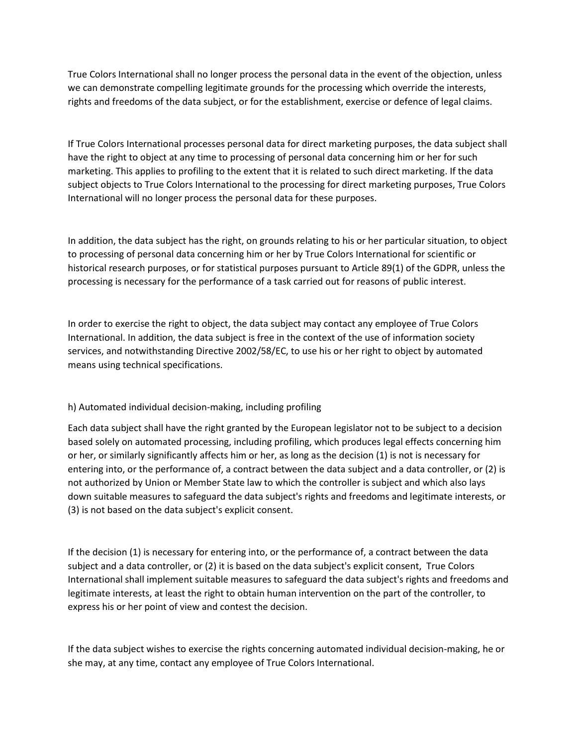True Colors International shall no longer process the personal data in the event of the objection, unless we can demonstrate compelling legitimate grounds for the processing which override the interests, rights and freedoms of the data subject, or for the establishment, exercise or defence of legal claims.

If True Colors International processes personal data for direct marketing purposes, the data subject shall have the right to object at any time to processing of personal data concerning him or her for such marketing. This applies to profiling to the extent that it is related to such direct marketing. If the data subject objects to True Colors International to the processing for direct marketing purposes, True Colors International will no longer process the personal data for these purposes.

In addition, the data subject has the right, on grounds relating to his or her particular situation, to object to processing of personal data concerning him or her by True Colors International for scientific or historical research purposes, or for statistical purposes pursuant to Article 89(1) of the GDPR, unless the processing is necessary for the performance of a task carried out for reasons of public interest.

In order to exercise the right to object, the data subject may contact any employee of True Colors International. In addition, the data subject is free in the context of the use of information society services, and notwithstanding Directive 2002/58/EC, to use his or her right to object by automated means using technical specifications.

# h) Automated individual decision-making, including profiling

Each data subject shall have the right granted by the European legislator not to be subject to a decision based solely on automated processing, including profiling, which produces legal effects concerning him or her, or similarly significantly affects him or her, as long as the decision (1) is not is necessary for entering into, or the performance of, a contract between the data subject and a data controller, or (2) is not authorized by Union or Member State law to which the controller is subject and which also lays down suitable measures to safeguard the data subject's rights and freedoms and legitimate interests, or (3) is not based on the data subject's explicit consent.

If the decision (1) is necessary for entering into, or the performance of, a contract between the data subject and a data controller, or (2) it is based on the data subject's explicit consent, True Colors International shall implement suitable measures to safeguard the data subject's rights and freedoms and legitimate interests, at least the right to obtain human intervention on the part of the controller, to express his or her point of view and contest the decision.

If the data subject wishes to exercise the rights concerning automated individual decision-making, he or she may, at any time, contact any employee of True Colors International.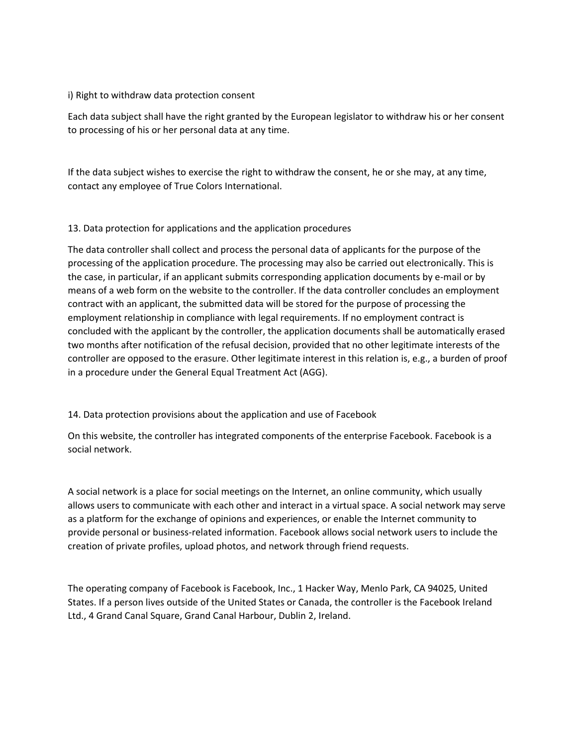### i) Right to withdraw data protection consent

Each data subject shall have the right granted by the European legislator to withdraw his or her consent to processing of his or her personal data at any time.

If the data subject wishes to exercise the right to withdraw the consent, he or she may, at any time, contact any employee of True Colors International.

### 13. Data protection for applications and the application procedures

The data controller shall collect and process the personal data of applicants for the purpose of the processing of the application procedure. The processing may also be carried out electronically. This is the case, in particular, if an applicant submits corresponding application documents by e-mail or by means of a web form on the website to the controller. If the data controller concludes an employment contract with an applicant, the submitted data will be stored for the purpose of processing the employment relationship in compliance with legal requirements. If no employment contract is concluded with the applicant by the controller, the application documents shall be automatically erased two months after notification of the refusal decision, provided that no other legitimate interests of the controller are opposed to the erasure. Other legitimate interest in this relation is, e.g., a burden of proof in a procedure under the General Equal Treatment Act (AGG).

### 14. Data protection provisions about the application and use of Facebook

On this website, the controller has integrated components of the enterprise Facebook. Facebook is a social network.

A social network is a place for social meetings on the Internet, an online community, which usually allows users to communicate with each other and interact in a virtual space. A social network may serve as a platform for the exchange of opinions and experiences, or enable the Internet community to provide personal or business-related information. Facebook allows social network users to include the creation of private profiles, upload photos, and network through friend requests.

The operating company of Facebook is Facebook, Inc., 1 Hacker Way, Menlo Park, CA 94025, United States. If a person lives outside of the United States or Canada, the controller is the Facebook Ireland Ltd., 4 Grand Canal Square, Grand Canal Harbour, Dublin 2, Ireland.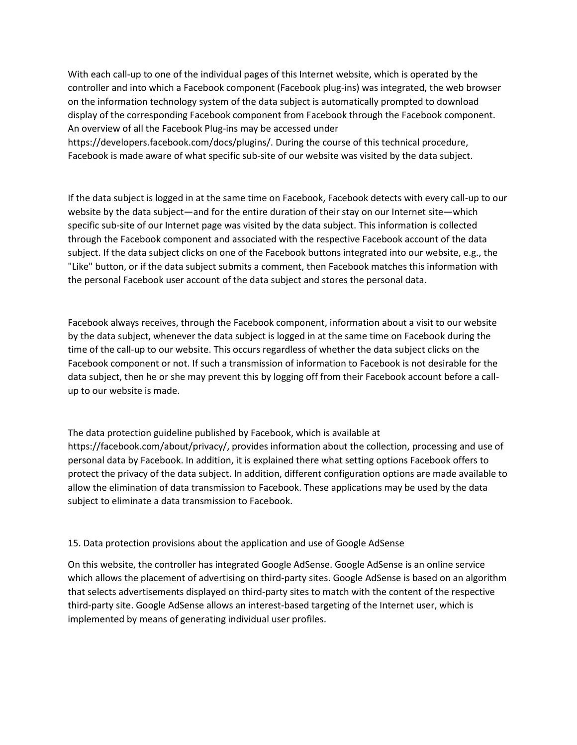With each call-up to one of the individual pages of this Internet website, which is operated by the controller and into which a Facebook component (Facebook plug-ins) was integrated, the web browser on the information technology system of the data subject is automatically prompted to download display of the corresponding Facebook component from Facebook through the Facebook component. An overview of all the Facebook Plug-ins may be accessed under

https://developers.facebook.com/docs/plugins/. During the course of this technical procedure, Facebook is made aware of what specific sub-site of our website was visited by the data subject.

If the data subject is logged in at the same time on Facebook, Facebook detects with every call-up to our website by the data subject—and for the entire duration of their stay on our Internet site—which specific sub-site of our Internet page was visited by the data subject. This information is collected through the Facebook component and associated with the respective Facebook account of the data subject. If the data subject clicks on one of the Facebook buttons integrated into our website, e.g., the "Like" button, or if the data subject submits a comment, then Facebook matches this information with the personal Facebook user account of the data subject and stores the personal data.

Facebook always receives, through the Facebook component, information about a visit to our website by the data subject, whenever the data subject is logged in at the same time on Facebook during the time of the call-up to our website. This occurs regardless of whether the data subject clicks on the Facebook component or not. If such a transmission of information to Facebook is not desirable for the data subject, then he or she may prevent this by logging off from their Facebook account before a callup to our website is made.

The data protection guideline published by Facebook, which is available at https://facebook.com/about/privacy/, provides information about the collection, processing and use of personal data by Facebook. In addition, it is explained there what setting options Facebook offers to protect the privacy of the data subject. In addition, different configuration options are made available to allow the elimination of data transmission to Facebook. These applications may be used by the data subject to eliminate a data transmission to Facebook.

### 15. Data protection provisions about the application and use of Google AdSense

On this website, the controller has integrated Google AdSense. Google AdSense is an online service which allows the placement of advertising on third-party sites. Google AdSense is based on an algorithm that selects advertisements displayed on third-party sites to match with the content of the respective third-party site. Google AdSense allows an interest-based targeting of the Internet user, which is implemented by means of generating individual user profiles.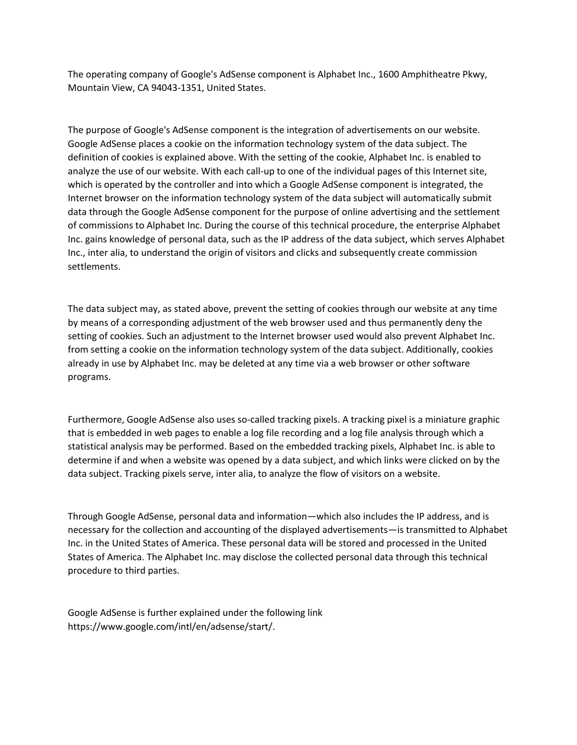The operating company of Google's AdSense component is Alphabet Inc., 1600 Amphitheatre Pkwy, Mountain View, CA 94043-1351, United States.

The purpose of Google's AdSense component is the integration of advertisements on our website. Google AdSense places a cookie on the information technology system of the data subject. The definition of cookies is explained above. With the setting of the cookie, Alphabet Inc. is enabled to analyze the use of our website. With each call-up to one of the individual pages of this Internet site, which is operated by the controller and into which a Google AdSense component is integrated, the Internet browser on the information technology system of the data subject will automatically submit data through the Google AdSense component for the purpose of online advertising and the settlement of commissions to Alphabet Inc. During the course of this technical procedure, the enterprise Alphabet Inc. gains knowledge of personal data, such as the IP address of the data subject, which serves Alphabet Inc., inter alia, to understand the origin of visitors and clicks and subsequently create commission settlements.

The data subject may, as stated above, prevent the setting of cookies through our website at any time by means of a corresponding adjustment of the web browser used and thus permanently deny the setting of cookies. Such an adjustment to the Internet browser used would also prevent Alphabet Inc. from setting a cookie on the information technology system of the data subject. Additionally, cookies already in use by Alphabet Inc. may be deleted at any time via a web browser or other software programs.

Furthermore, Google AdSense also uses so-called tracking pixels. A tracking pixel is a miniature graphic that is embedded in web pages to enable a log file recording and a log file analysis through which a statistical analysis may be performed. Based on the embedded tracking pixels, Alphabet Inc. is able to determine if and when a website was opened by a data subject, and which links were clicked on by the data subject. Tracking pixels serve, inter alia, to analyze the flow of visitors on a website.

Through Google AdSense, personal data and information—which also includes the IP address, and is necessary for the collection and accounting of the displayed advertisements—is transmitted to Alphabet Inc. in the United States of America. These personal data will be stored and processed in the United States of America. The Alphabet Inc. may disclose the collected personal data through this technical procedure to third parties.

Google AdSense is further explained under the following link https://www.google.com/intl/en/adsense/start/.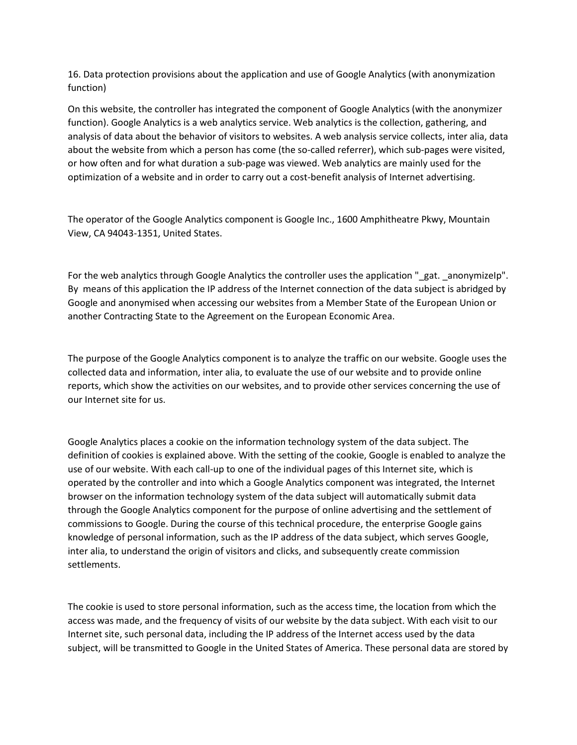16. Data protection provisions about the application and use of Google Analytics (with anonymization function)

On this website, the controller has integrated the component of Google Analytics (with the anonymizer function). Google Analytics is a web analytics service. Web analytics is the collection, gathering, and analysis of data about the behavior of visitors to websites. A web analysis service collects, inter alia, data about the website from which a person has come (the so-called referrer), which sub-pages were visited, or how often and for what duration a sub-page was viewed. Web analytics are mainly used for the optimization of a website and in order to carry out a cost-benefit analysis of Internet advertising.

The operator of the Google Analytics component is Google Inc., 1600 Amphitheatre Pkwy, Mountain View, CA 94043-1351, United States.

For the web analytics through Google Analytics the controller uses the application "\_gat. \_anonymizeIp". By means of this application the IP address of the Internet connection of the data subject is abridged by Google and anonymised when accessing our websites from a Member State of the European Union or another Contracting State to the Agreement on the European Economic Area.

The purpose of the Google Analytics component is to analyze the traffic on our website. Google uses the collected data and information, inter alia, to evaluate the use of our website and to provide online reports, which show the activities on our websites, and to provide other services concerning the use of our Internet site for us.

Google Analytics places a cookie on the information technology system of the data subject. The definition of cookies is explained above. With the setting of the cookie, Google is enabled to analyze the use of our website. With each call-up to one of the individual pages of this Internet site, which is operated by the controller and into which a Google Analytics component was integrated, the Internet browser on the information technology system of the data subject will automatically submit data through the Google Analytics component for the purpose of online advertising and the settlement of commissions to Google. During the course of this technical procedure, the enterprise Google gains knowledge of personal information, such as the IP address of the data subject, which serves Google, inter alia, to understand the origin of visitors and clicks, and subsequently create commission settlements.

The cookie is used to store personal information, such as the access time, the location from which the access was made, and the frequency of visits of our website by the data subject. With each visit to our Internet site, such personal data, including the IP address of the Internet access used by the data subject, will be transmitted to Google in the United States of America. These personal data are stored by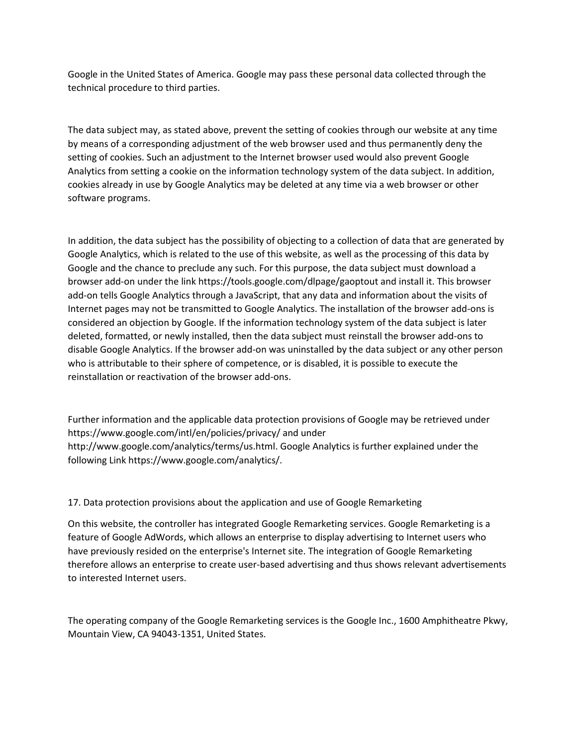Google in the United States of America. Google may pass these personal data collected through the technical procedure to third parties.

The data subject may, as stated above, prevent the setting of cookies through our website at any time by means of a corresponding adjustment of the web browser used and thus permanently deny the setting of cookies. Such an adjustment to the Internet browser used would also prevent Google Analytics from setting a cookie on the information technology system of the data subject. In addition, cookies already in use by Google Analytics may be deleted at any time via a web browser or other software programs.

In addition, the data subject has the possibility of objecting to a collection of data that are generated by Google Analytics, which is related to the use of this website, as well as the processing of this data by Google and the chance to preclude any such. For this purpose, the data subject must download a browser add-on under the link https://tools.google.com/dlpage/gaoptout and install it. This browser add-on tells Google Analytics through a JavaScript, that any data and information about the visits of Internet pages may not be transmitted to Google Analytics. The installation of the browser add-ons is considered an objection by Google. If the information technology system of the data subject is later deleted, formatted, or newly installed, then the data subject must reinstall the browser add-ons to disable Google Analytics. If the browser add-on was uninstalled by the data subject or any other person who is attributable to their sphere of competence, or is disabled, it is possible to execute the reinstallation or reactivation of the browser add-ons.

Further information and the applicable data protection provisions of Google may be retrieved under https://www.google.com/intl/en/policies/privacy/ and under http://www.google.com/analytics/terms/us.html. Google Analytics is further explained under the following Link https://www.google.com/analytics/.

17. Data protection provisions about the application and use of Google Remarketing

On this website, the controller has integrated Google Remarketing services. Google Remarketing is a feature of Google AdWords, which allows an enterprise to display advertising to Internet users who have previously resided on the enterprise's Internet site. The integration of Google Remarketing therefore allows an enterprise to create user-based advertising and thus shows relevant advertisements to interested Internet users.

The operating company of the Google Remarketing services is the Google Inc., 1600 Amphitheatre Pkwy, Mountain View, CA 94043-1351, United States.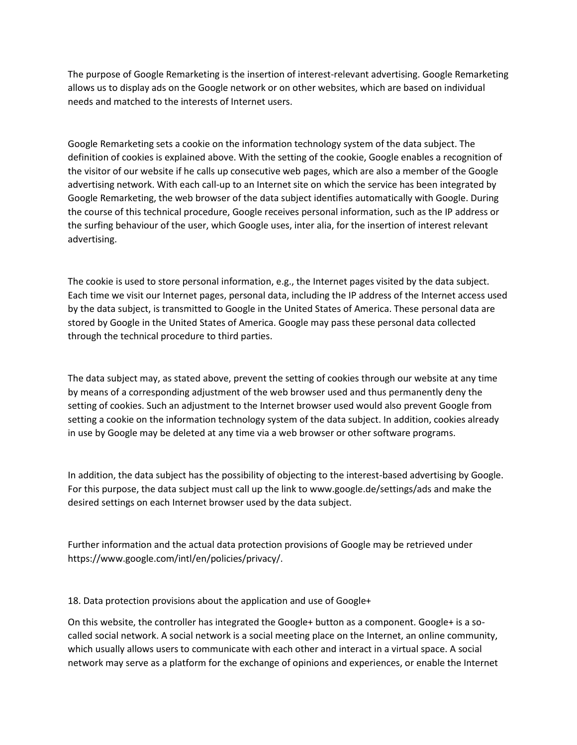The purpose of Google Remarketing is the insertion of interest-relevant advertising. Google Remarketing allows us to display ads on the Google network or on other websites, which are based on individual needs and matched to the interests of Internet users.

Google Remarketing sets a cookie on the information technology system of the data subject. The definition of cookies is explained above. With the setting of the cookie, Google enables a recognition of the visitor of our website if he calls up consecutive web pages, which are also a member of the Google advertising network. With each call-up to an Internet site on which the service has been integrated by Google Remarketing, the web browser of the data subject identifies automatically with Google. During the course of this technical procedure, Google receives personal information, such as the IP address or the surfing behaviour of the user, which Google uses, inter alia, for the insertion of interest relevant advertising.

The cookie is used to store personal information, e.g., the Internet pages visited by the data subject. Each time we visit our Internet pages, personal data, including the IP address of the Internet access used by the data subject, is transmitted to Google in the United States of America. These personal data are stored by Google in the United States of America. Google may pass these personal data collected through the technical procedure to third parties.

The data subject may, as stated above, prevent the setting of cookies through our website at any time by means of a corresponding adjustment of the web browser used and thus permanently deny the setting of cookies. Such an adjustment to the Internet browser used would also prevent Google from setting a cookie on the information technology system of the data subject. In addition, cookies already in use by Google may be deleted at any time via a web browser or other software programs.

In addition, the data subject has the possibility of objecting to the interest-based advertising by Google. For this purpose, the data subject must call up the link to www.google.de/settings/ads and make the desired settings on each Internet browser used by the data subject.

Further information and the actual data protection provisions of Google may be retrieved under https://www.google.com/intl/en/policies/privacy/.

### 18. Data protection provisions about the application and use of Google+

On this website, the controller has integrated the Google+ button as a component. Google+ is a socalled social network. A social network is a social meeting place on the Internet, an online community, which usually allows users to communicate with each other and interact in a virtual space. A social network may serve as a platform for the exchange of opinions and experiences, or enable the Internet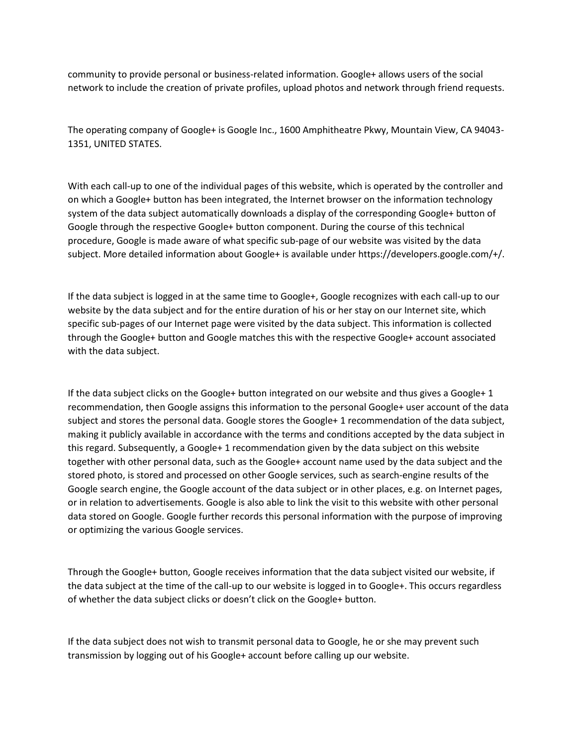community to provide personal or business-related information. Google+ allows users of the social network to include the creation of private profiles, upload photos and network through friend requests.

The operating company of Google+ is Google Inc., 1600 Amphitheatre Pkwy, Mountain View, CA 94043- 1351, UNITED STATES.

With each call-up to one of the individual pages of this website, which is operated by the controller and on which a Google+ button has been integrated, the Internet browser on the information technology system of the data subject automatically downloads a display of the corresponding Google+ button of Google through the respective Google+ button component. During the course of this technical procedure, Google is made aware of what specific sub-page of our website was visited by the data subject. More detailed information about Google+ is available under https://developers.google.com/+/.

If the data subject is logged in at the same time to Google+, Google recognizes with each call-up to our website by the data subject and for the entire duration of his or her stay on our Internet site, which specific sub-pages of our Internet page were visited by the data subject. This information is collected through the Google+ button and Google matches this with the respective Google+ account associated with the data subject.

If the data subject clicks on the Google+ button integrated on our website and thus gives a Google+ 1 recommendation, then Google assigns this information to the personal Google+ user account of the data subject and stores the personal data. Google stores the Google+ 1 recommendation of the data subject, making it publicly available in accordance with the terms and conditions accepted by the data subject in this regard. Subsequently, a Google+ 1 recommendation given by the data subject on this website together with other personal data, such as the Google+ account name used by the data subject and the stored photo, is stored and processed on other Google services, such as search-engine results of the Google search engine, the Google account of the data subject or in other places, e.g. on Internet pages, or in relation to advertisements. Google is also able to link the visit to this website with other personal data stored on Google. Google further records this personal information with the purpose of improving or optimizing the various Google services.

Through the Google+ button, Google receives information that the data subject visited our website, if the data subject at the time of the call-up to our website is logged in to Google+. This occurs regardless of whether the data subject clicks or doesn't click on the Google+ button.

If the data subject does not wish to transmit personal data to Google, he or she may prevent such transmission by logging out of his Google+ account before calling up our website.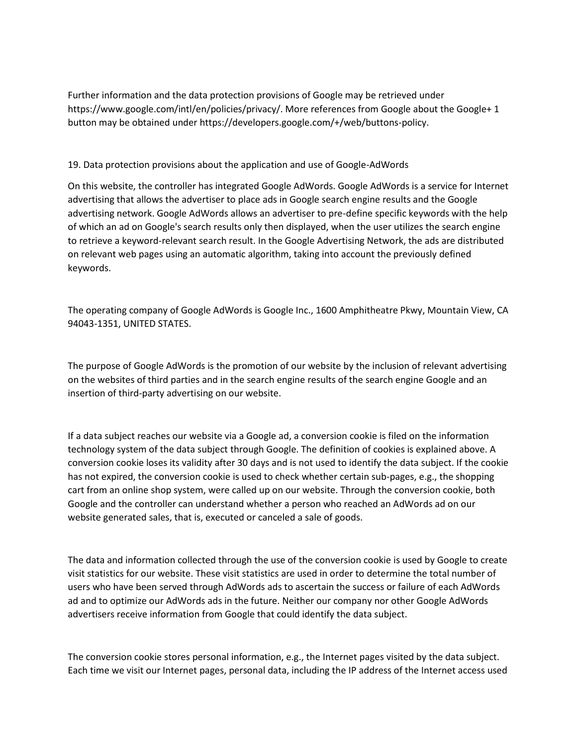Further information and the data protection provisions of Google may be retrieved under https://www.google.com/intl/en/policies/privacy/. More references from Google about the Google+ 1 button may be obtained under https://developers.google.com/+/web/buttons-policy.

### 19. Data protection provisions about the application and use of Google-AdWords

On this website, the controller has integrated Google AdWords. Google AdWords is a service for Internet advertising that allows the advertiser to place ads in Google search engine results and the Google advertising network. Google AdWords allows an advertiser to pre-define specific keywords with the help of which an ad on Google's search results only then displayed, when the user utilizes the search engine to retrieve a keyword-relevant search result. In the Google Advertising Network, the ads are distributed on relevant web pages using an automatic algorithm, taking into account the previously defined keywords.

The operating company of Google AdWords is Google Inc., 1600 Amphitheatre Pkwy, Mountain View, CA 94043-1351, UNITED STATES.

The purpose of Google AdWords is the promotion of our website by the inclusion of relevant advertising on the websites of third parties and in the search engine results of the search engine Google and an insertion of third-party advertising on our website.

If a data subject reaches our website via a Google ad, a conversion cookie is filed on the information technology system of the data subject through Google. The definition of cookies is explained above. A conversion cookie loses its validity after 30 days and is not used to identify the data subject. If the cookie has not expired, the conversion cookie is used to check whether certain sub-pages, e.g., the shopping cart from an online shop system, were called up on our website. Through the conversion cookie, both Google and the controller can understand whether a person who reached an AdWords ad on our website generated sales, that is, executed or canceled a sale of goods.

The data and information collected through the use of the conversion cookie is used by Google to create visit statistics for our website. These visit statistics are used in order to determine the total number of users who have been served through AdWords ads to ascertain the success or failure of each AdWords ad and to optimize our AdWords ads in the future. Neither our company nor other Google AdWords advertisers receive information from Google that could identify the data subject.

The conversion cookie stores personal information, e.g., the Internet pages visited by the data subject. Each time we visit our Internet pages, personal data, including the IP address of the Internet access used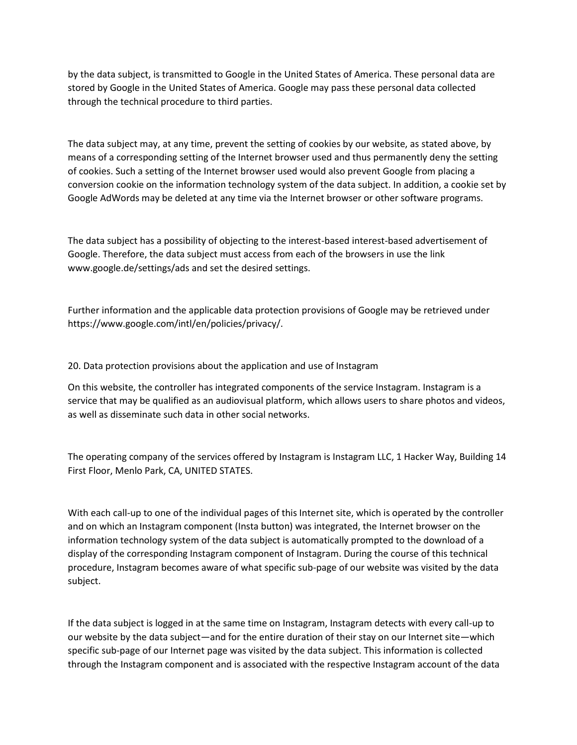by the data subject, is transmitted to Google in the United States of America. These personal data are stored by Google in the United States of America. Google may pass these personal data collected through the technical procedure to third parties.

The data subject may, at any time, prevent the setting of cookies by our website, as stated above, by means of a corresponding setting of the Internet browser used and thus permanently deny the setting of cookies. Such a setting of the Internet browser used would also prevent Google from placing a conversion cookie on the information technology system of the data subject. In addition, a cookie set by Google AdWords may be deleted at any time via the Internet browser or other software programs.

The data subject has a possibility of objecting to the interest-based interest-based advertisement of Google. Therefore, the data subject must access from each of the browsers in use the link www.google.de/settings/ads and set the desired settings.

Further information and the applicable data protection provisions of Google may be retrieved under https://www.google.com/intl/en/policies/privacy/.

20. Data protection provisions about the application and use of Instagram

On this website, the controller has integrated components of the service Instagram. Instagram is a service that may be qualified as an audiovisual platform, which allows users to share photos and videos, as well as disseminate such data in other social networks.

The operating company of the services offered by Instagram is Instagram LLC, 1 Hacker Way, Building 14 First Floor, Menlo Park, CA, UNITED STATES.

With each call-up to one of the individual pages of this Internet site, which is operated by the controller and on which an Instagram component (Insta button) was integrated, the Internet browser on the information technology system of the data subject is automatically prompted to the download of a display of the corresponding Instagram component of Instagram. During the course of this technical procedure, Instagram becomes aware of what specific sub-page of our website was visited by the data subject.

If the data subject is logged in at the same time on Instagram, Instagram detects with every call-up to our website by the data subject—and for the entire duration of their stay on our Internet site—which specific sub-page of our Internet page was visited by the data subject. This information is collected through the Instagram component and is associated with the respective Instagram account of the data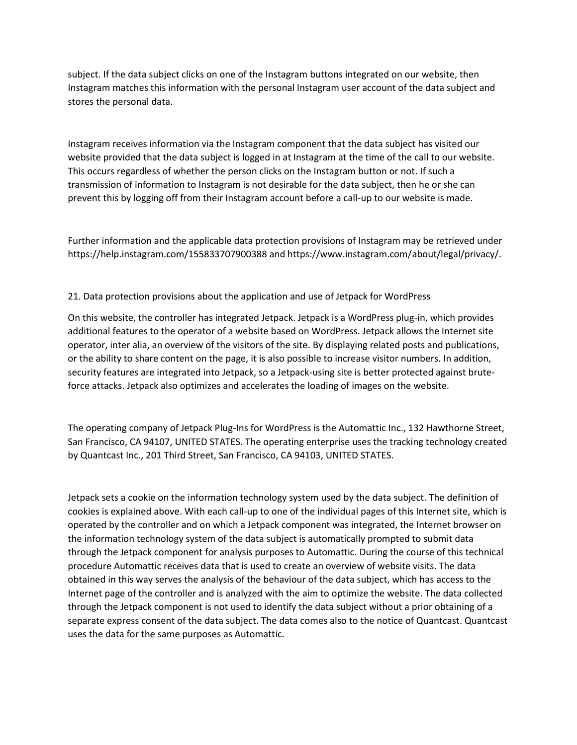subject. If the data subject clicks on one of the Instagram buttons integrated on our website, then Instagram matches this information with the personal Instagram user account of the data subject and stores the personal data.

Instagram receives information via the Instagram component that the data subject has visited our website provided that the data subject is logged in at Instagram at the time of the call to our website. This occurs regardless of whether the person clicks on the Instagram button or not. If such a transmission of information to Instagram is not desirable for the data subject, then he or she can prevent this by logging off from their Instagram account before a call-up to our website is made.

Further information and the applicable data protection provisions of Instagram may be retrieved under https://help.instagram.com/155833707900388 and https://www.instagram.com/about/legal/privacy/.

21. Data protection provisions about the application and use of Jetpack for WordPress

On this website, the controller has integrated Jetpack. Jetpack is a WordPress plug-in, which provides additional features to the operator of a website based on WordPress. Jetpack allows the Internet site operator, inter alia, an overview of the visitors of the site. By displaying related posts and publications, or the ability to share content on the page, it is also possible to increase visitor numbers. In addition, security features are integrated into Jetpack, so a Jetpack-using site is better protected against bruteforce attacks. Jetpack also optimizes and accelerates the loading of images on the website.

The operating company of Jetpack Plug-Ins for WordPress is the Automattic Inc., 132 Hawthorne Street, San Francisco, CA 94107, UNITED STATES. The operating enterprise uses the tracking technology created by Quantcast Inc., 201 Third Street, San Francisco, CA 94103, UNITED STATES.

Jetpack sets a cookie on the information technology system used by the data subject. The definition of cookies is explained above. With each call-up to one of the individual pages of this Internet site, which is operated by the controller and on which a Jetpack component was integrated, the Internet browser on the information technology system of the data subject is automatically prompted to submit data through the Jetpack component for analysis purposes to Automattic. During the course of this technical procedure Automattic receives data that is used to create an overview of website visits. The data obtained in this way serves the analysis of the behaviour of the data subject, which has access to the Internet page of the controller and is analyzed with the aim to optimize the website. The data collected through the Jetpack component is not used to identify the data subject without a prior obtaining of a separate express consent of the data subject. The data comes also to the notice of Quantcast. Quantcast uses the data for the same purposes as Automattic.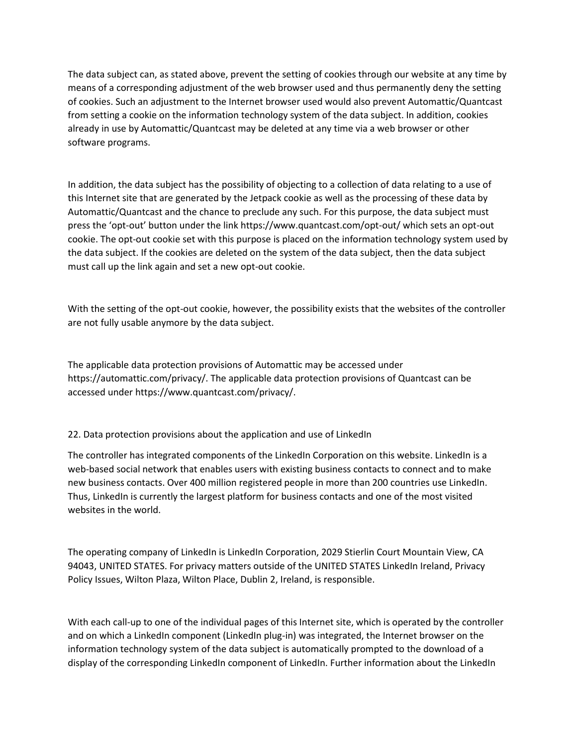The data subject can, as stated above, prevent the setting of cookies through our website at any time by means of a corresponding adjustment of the web browser used and thus permanently deny the setting of cookies. Such an adjustment to the Internet browser used would also prevent Automattic/Quantcast from setting a cookie on the information technology system of the data subject. In addition, cookies already in use by Automattic/Quantcast may be deleted at any time via a web browser or other software programs.

In addition, the data subject has the possibility of objecting to a collection of data relating to a use of this Internet site that are generated by the Jetpack cookie as well as the processing of these data by Automattic/Quantcast and the chance to preclude any such. For this purpose, the data subject must press the 'opt-out' button under the link https://www.quantcast.com/opt-out/ which sets an opt-out cookie. The opt-out cookie set with this purpose is placed on the information technology system used by the data subject. If the cookies are deleted on the system of the data subject, then the data subject must call up the link again and set a new opt-out cookie.

With the setting of the opt-out cookie, however, the possibility exists that the websites of the controller are not fully usable anymore by the data subject.

The applicable data protection provisions of Automattic may be accessed under https://automattic.com/privacy/. The applicable data protection provisions of Quantcast can be accessed under https://www.quantcast.com/privacy/.

### 22. Data protection provisions about the application and use of LinkedIn

The controller has integrated components of the LinkedIn Corporation on this website. LinkedIn is a web-based social network that enables users with existing business contacts to connect and to make new business contacts. Over 400 million registered people in more than 200 countries use LinkedIn. Thus, LinkedIn is currently the largest platform for business contacts and one of the most visited websites in the world.

The operating company of LinkedIn is LinkedIn Corporation, 2029 Stierlin Court Mountain View, CA 94043, UNITED STATES. For privacy matters outside of the UNITED STATES LinkedIn Ireland, Privacy Policy Issues, Wilton Plaza, Wilton Place, Dublin 2, Ireland, is responsible.

With each call-up to one of the individual pages of this Internet site, which is operated by the controller and on which a LinkedIn component (LinkedIn plug-in) was integrated, the Internet browser on the information technology system of the data subject is automatically prompted to the download of a display of the corresponding LinkedIn component of LinkedIn. Further information about the LinkedIn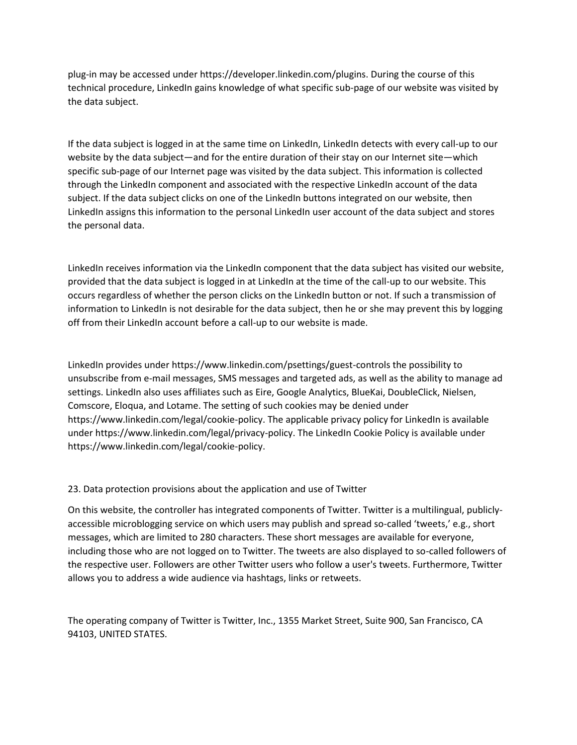plug-in may be accessed under https://developer.linkedin.com/plugins. During the course of this technical procedure, LinkedIn gains knowledge of what specific sub-page of our website was visited by the data subject.

If the data subject is logged in at the same time on LinkedIn, LinkedIn detects with every call-up to our website by the data subject—and for the entire duration of their stay on our Internet site—which specific sub-page of our Internet page was visited by the data subject. This information is collected through the LinkedIn component and associated with the respective LinkedIn account of the data subject. If the data subject clicks on one of the LinkedIn buttons integrated on our website, then LinkedIn assigns this information to the personal LinkedIn user account of the data subject and stores the personal data.

LinkedIn receives information via the LinkedIn component that the data subject has visited our website, provided that the data subject is logged in at LinkedIn at the time of the call-up to our website. This occurs regardless of whether the person clicks on the LinkedIn button or not. If such a transmission of information to LinkedIn is not desirable for the data subject, then he or she may prevent this by logging off from their LinkedIn account before a call-up to our website is made.

LinkedIn provides under https://www.linkedin.com/psettings/guest-controls the possibility to unsubscribe from e-mail messages, SMS messages and targeted ads, as well as the ability to manage ad settings. LinkedIn also uses affiliates such as Eire, Google Analytics, BlueKai, DoubleClick, Nielsen, Comscore, Eloqua, and Lotame. The setting of such cookies may be denied under https://www.linkedin.com/legal/cookie-policy. The applicable privacy policy for LinkedIn is available under https://www.linkedin.com/legal/privacy-policy. The LinkedIn Cookie Policy is available under https://www.linkedin.com/legal/cookie-policy.

23. Data protection provisions about the application and use of Twitter

On this website, the controller has integrated components of Twitter. Twitter is a multilingual, publiclyaccessible microblogging service on which users may publish and spread so-called 'tweets,' e.g., short messages, which are limited to 280 characters. These short messages are available for everyone, including those who are not logged on to Twitter. The tweets are also displayed to so-called followers of the respective user. Followers are other Twitter users who follow a user's tweets. Furthermore, Twitter allows you to address a wide audience via hashtags, links or retweets.

The operating company of Twitter is Twitter, Inc., 1355 Market Street, Suite 900, San Francisco, CA 94103, UNITED STATES.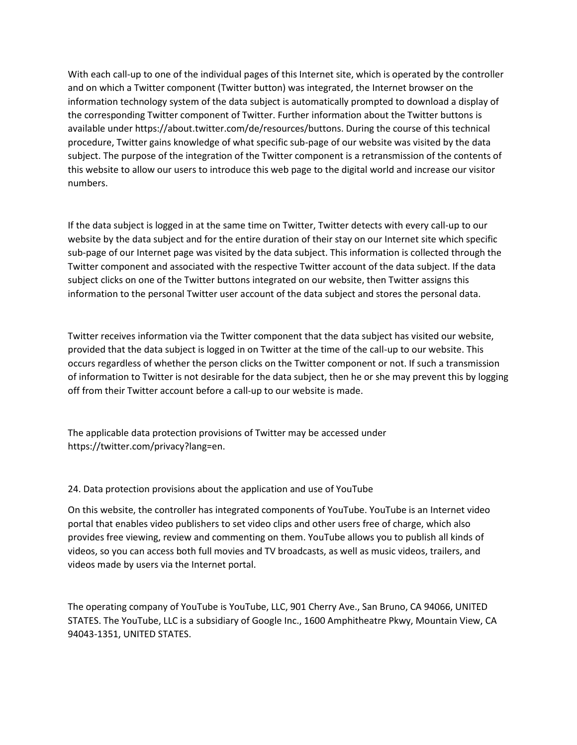With each call-up to one of the individual pages of this Internet site, which is operated by the controller and on which a Twitter component (Twitter button) was integrated, the Internet browser on the information technology system of the data subject is automatically prompted to download a display of the corresponding Twitter component of Twitter. Further information about the Twitter buttons is available under https://about.twitter.com/de/resources/buttons. During the course of this technical procedure, Twitter gains knowledge of what specific sub-page of our website was visited by the data subject. The purpose of the integration of the Twitter component is a retransmission of the contents of this website to allow our users to introduce this web page to the digital world and increase our visitor numbers.

If the data subject is logged in at the same time on Twitter, Twitter detects with every call-up to our website by the data subject and for the entire duration of their stay on our Internet site which specific sub-page of our Internet page was visited by the data subject. This information is collected through the Twitter component and associated with the respective Twitter account of the data subject. If the data subject clicks on one of the Twitter buttons integrated on our website, then Twitter assigns this information to the personal Twitter user account of the data subject and stores the personal data.

Twitter receives information via the Twitter component that the data subject has visited our website, provided that the data subject is logged in on Twitter at the time of the call-up to our website. This occurs regardless of whether the person clicks on the Twitter component or not. If such a transmission of information to Twitter is not desirable for the data subject, then he or she may prevent this by logging off from their Twitter account before a call-up to our website is made.

The applicable data protection provisions of Twitter may be accessed under https://twitter.com/privacy?lang=en.

24. Data protection provisions about the application and use of YouTube

On this website, the controller has integrated components of YouTube. YouTube is an Internet video portal that enables video publishers to set video clips and other users free of charge, which also provides free viewing, review and commenting on them. YouTube allows you to publish all kinds of videos, so you can access both full movies and TV broadcasts, as well as music videos, trailers, and videos made by users via the Internet portal.

The operating company of YouTube is YouTube, LLC, 901 Cherry Ave., San Bruno, CA 94066, UNITED STATES. The YouTube, LLC is a subsidiary of Google Inc., 1600 Amphitheatre Pkwy, Mountain View, CA 94043-1351, UNITED STATES.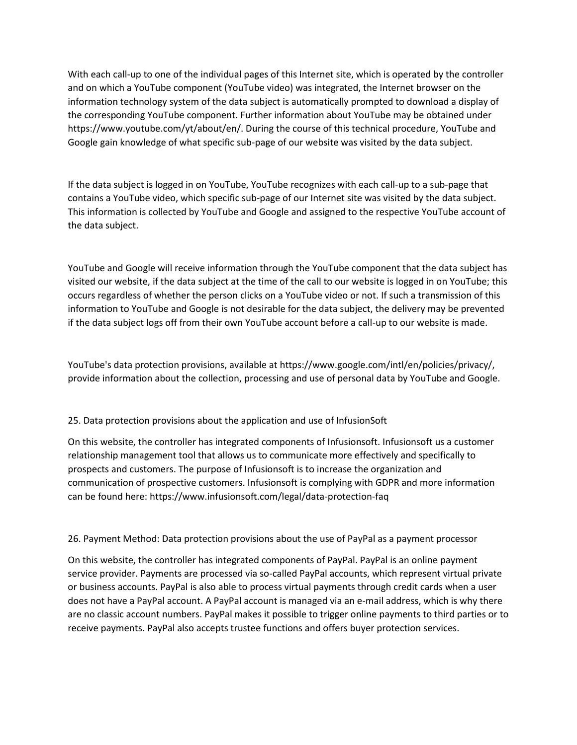With each call-up to one of the individual pages of this Internet site, which is operated by the controller and on which a YouTube component (YouTube video) was integrated, the Internet browser on the information technology system of the data subject is automatically prompted to download a display of the corresponding YouTube component. Further information about YouTube may be obtained under https://www.youtube.com/yt/about/en/. During the course of this technical procedure, YouTube and Google gain knowledge of what specific sub-page of our website was visited by the data subject.

If the data subject is logged in on YouTube, YouTube recognizes with each call-up to a sub-page that contains a YouTube video, which specific sub-page of our Internet site was visited by the data subject. This information is collected by YouTube and Google and assigned to the respective YouTube account of the data subject.

YouTube and Google will receive information through the YouTube component that the data subject has visited our website, if the data subject at the time of the call to our website is logged in on YouTube; this occurs regardless of whether the person clicks on a YouTube video or not. If such a transmission of this information to YouTube and Google is not desirable for the data subject, the delivery may be prevented if the data subject logs off from their own YouTube account before a call-up to our website is made.

YouTube's data protection provisions, available at https://www.google.com/intl/en/policies/privacy/, provide information about the collection, processing and use of personal data by YouTube and Google.

# 25. Data protection provisions about the application and use of InfusionSoft

On this website, the controller has integrated components of Infusionsoft. Infusionsoft us a customer relationship management tool that allows us to communicate more effectively and specifically to prospects and customers. The purpose of Infusionsoft is to increase the organization and communication of prospective customers. Infusionsoft is complying with GDPR and more information can be found here: https://www.infusionsoft.com/legal/data-protection-faq

# 26. Payment Method: Data protection provisions about the use of PayPal as a payment processor

On this website, the controller has integrated components of PayPal. PayPal is an online payment service provider. Payments are processed via so-called PayPal accounts, which represent virtual private or business accounts. PayPal is also able to process virtual payments through credit cards when a user does not have a PayPal account. A PayPal account is managed via an e-mail address, which is why there are no classic account numbers. PayPal makes it possible to trigger online payments to third parties or to receive payments. PayPal also accepts trustee functions and offers buyer protection services.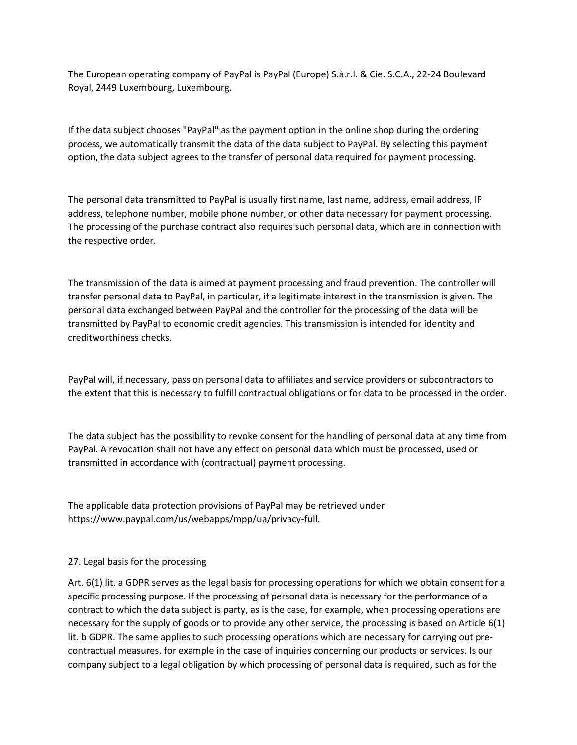The European operating company of PayPal is PayPal (Europe) S.à.r.l. & Cie. S.C.A., 22-24 Boulevard Royal, 2449 Luxembourg, Luxembourg.

If the data subject chooses "PayPal" as the payment option in the online shop during the ordering process, we automatically transmit the data of the data subject to PayPal. By selecting this payment option, the data subject agrees to the transfer of personal data required for payment processing.

The personal data transmitted to PayPal is usually first name, last name, address, email address, IP address, telephone number, mobile phone number, or other data necessary for payment processing. The processing of the purchase contract also requires such personal data, which are in connection with the respective order.

The transmission of the data is aimed at payment processing and fraud prevention. The controller will transfer personal data to PayPal, in particular, if a legitimate interest in the transmission is given. The personal data exchanged between PayPal and the controller for the processing of the data will be transmitted by PayPal to economic credit agencies. This transmission is intended for identity and creditworthiness checks.

PayPal will, if necessary, pass on personal data to affiliates and service providers or subcontractors to the extent that this is necessary to fulfill contractual obligations or for data to be processed in the order.

The data subject has the possibility to revoke consent for the handling of personal data at any time from PayPal. A revocation shall not have any effect on personal data which must be processed, used or transmitted in accordance with (contractual) payment processing.

The applicable data protection provisions of PayPal may be retrieved under https://www.paypal.com/us/webapps/mpp/ua/privacy-full.

### 27. Legal basis for the processing

Art. 6(1) lit. a GDPR serves as the legal basis for processing operations for which we obtain consent for a specific processing purpose. If the processing of personal data is necessary for the performance of a contract to which the data subject is party, as is the case, for example, when processing operations are necessary for the supply of goods or to provide any other service, the processing is based on Article 6(1) lit. b GDPR. The same applies to such processing operations which are necessary for carrying out precontractual measures, for example in the case of inquiries concerning our products or services. Is our company subject to a legal obligation by which processing of personal data is required, such as for the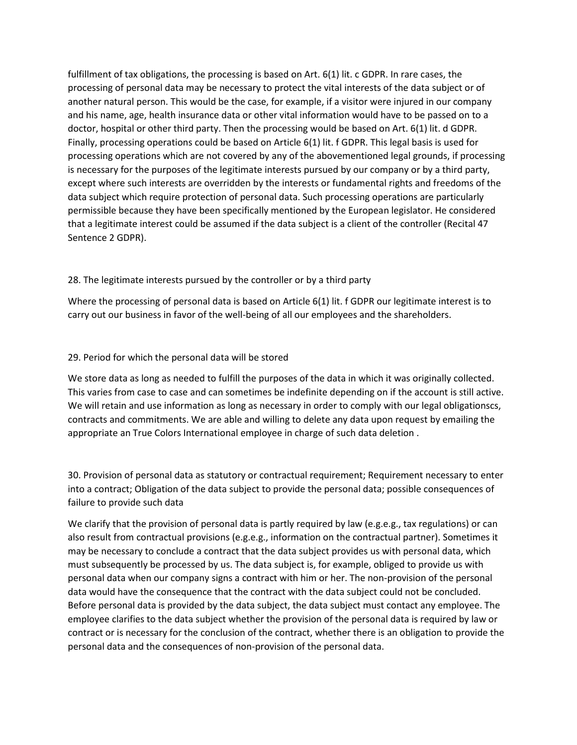fulfillment of tax obligations, the processing is based on Art. 6(1) lit. c GDPR. In rare cases, the processing of personal data may be necessary to protect the vital interests of the data subject or of another natural person. This would be the case, for example, if a visitor were injured in our company and his name, age, health insurance data or other vital information would have to be passed on to a doctor, hospital or other third party. Then the processing would be based on Art. 6(1) lit. d GDPR. Finally, processing operations could be based on Article 6(1) lit. f GDPR. This legal basis is used for processing operations which are not covered by any of the abovementioned legal grounds, if processing is necessary for the purposes of the legitimate interests pursued by our company or by a third party, except where such interests are overridden by the interests or fundamental rights and freedoms of the data subject which require protection of personal data. Such processing operations are particularly permissible because they have been specifically mentioned by the European legislator. He considered that a legitimate interest could be assumed if the data subject is a client of the controller (Recital 47 Sentence 2 GDPR).

### 28. The legitimate interests pursued by the controller or by a third party

Where the processing of personal data is based on Article 6(1) lit. f GDPR our legitimate interest is to carry out our business in favor of the well-being of all our employees and the shareholders.

# 29. Period for which the personal data will be stored

We store data as long as needed to fulfill the purposes of the data in which it was originally collected. This varies from case to case and can sometimes be indefinite depending on if the account is still active. We will retain and use information as long as necessary in order to comply with our legal obligationscs, contracts and commitments. We are able and willing to delete any data upon request by emailing the appropriate an True Colors International employee in charge of such data deletion .

30. Provision of personal data as statutory or contractual requirement; Requirement necessary to enter into a contract; Obligation of the data subject to provide the personal data; possible consequences of failure to provide such data

We clarify that the provision of personal data is partly required by law (e.g.e.g., tax regulations) or can also result from contractual provisions (e.g.e.g., information on the contractual partner). Sometimes it may be necessary to conclude a contract that the data subject provides us with personal data, which must subsequently be processed by us. The data subject is, for example, obliged to provide us with personal data when our company signs a contract with him or her. The non-provision of the personal data would have the consequence that the contract with the data subject could not be concluded. Before personal data is provided by the data subject, the data subject must contact any employee. The employee clarifies to the data subject whether the provision of the personal data is required by law or contract or is necessary for the conclusion of the contract, whether there is an obligation to provide the personal data and the consequences of non-provision of the personal data.